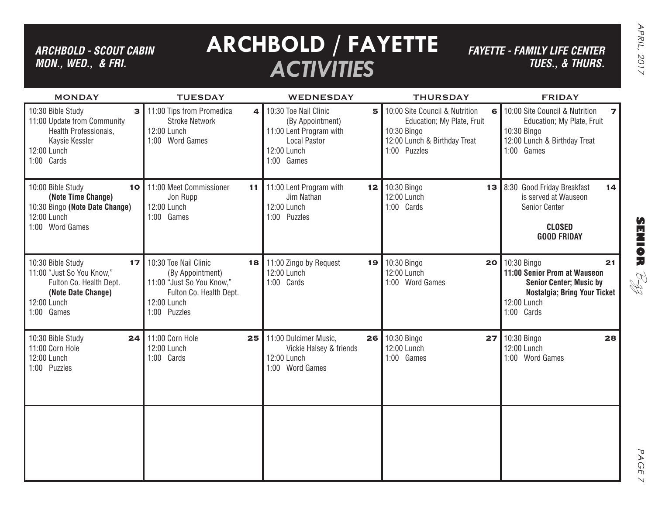## *ARCHBOLD - SCOUT CABIN MON., WED., & FRI.*

# **ARCHBOLD / FAYETTE** *ACTIVITIES*

*FAYETTE - FAMILY LIFE CENTER TUES., & THURS.*

B-zz

| <b>MONDAY</b>                                                                                                                      | <b>TUESDAY</b>                                                                                                                         | <b>WEDNESDAY</b>                                                                                                              | <b>THURSDAY</b>                                                                                                                   | <b>FRIDAY</b>                                                                                                                                        |
|------------------------------------------------------------------------------------------------------------------------------------|----------------------------------------------------------------------------------------------------------------------------------------|-------------------------------------------------------------------------------------------------------------------------------|-----------------------------------------------------------------------------------------------------------------------------------|------------------------------------------------------------------------------------------------------------------------------------------------------|
| 10:30 Bible Study<br>3<br>11:00 Update from Community<br>Health Professionals,<br>Kaysie Kessler<br>12:00 Lunch<br>1:00 Cards      | 11:00 Tips from Promedica<br>$\Delta$<br><b>Stroke Network</b><br>12:00 Lunch<br>1:00 Word Games                                       | 10:30 Toe Nail Clinic<br>5<br>(By Appointment)<br>11:00 Lent Program with<br><b>Local Pastor</b><br>12:00 Lunch<br>1:00 Games | 10:00 Site Council & Nutrition<br>6 <br>Education; My Plate, Fruit<br>10:30 Bingo<br>12:00 Lunch & Birthday Treat<br>1:00 Puzzles | 10:00 Site Council & Nutrition<br>$\overline{\mathbf{z}}$<br>Education; My Plate, Fruit<br>10:30 Bingo<br>12:00 Lunch & Birthday Treat<br>1:00 Games |
| 10:00 Bible Study<br>10<br>(Note Time Change)<br>10:30 Bingo (Note Date Change)<br>12:00 Lunch<br>1:00 Word Games                  | 11:00 Meet Commissioner<br>11<br>Jon Rupp<br>12:00 Lunch<br>1:00 Games                                                                 | 11:00 Lent Program with<br>12<br>Jim Nathan<br>12:00 Lunch<br>1:00 Puzzles                                                    | 10:30 Bingo<br>12:00 Lunch<br>1:00 Cards                                                                                          | 13 8:30 Good Friday Breakfast<br>14<br>is served at Wauseon<br>Senior Center<br><b>CLOSED</b><br><b>GOOD FRIDAY</b>                                  |
| 10:30 Bible Study<br>17<br>11:00 "Just So You Know,"<br>Fulton Co. Health Dept.<br>(Note Date Change)<br>12:00 Lunch<br>1:00 Games | 10:30 Toe Nail Clinic<br>18<br>(By Appointment)<br>11:00 "Just So You Know,"<br>Fulton Co. Health Dept.<br>12:00 Lunch<br>1:00 Puzzles | 11:00 Zingo by Request<br>19<br>12:00 Lunch<br>1:00 Cards                                                                     | 10:30 Bingo<br>12:00 Lunch<br>1:00 Word Games                                                                                     | 20 10:30 Bingo<br>21<br>11:00 Senior Prom at Wauseon<br><b>Senior Center; Music by</b><br>Nostalgia; Bring Your Ticket<br>12:00 Lunch<br>1:00 Cards  |
| 10:30 Bible Study<br>24<br>11:00 Corn Hole<br>12:00 Lunch<br>1:00 Puzzles                                                          | 11:00 Corn Hole<br>25<br>12:00 Lunch<br>1:00 Cards                                                                                     | 11:00 Dulcimer Music.<br>26<br>Vickie Halsey & friends<br>12:00 Lunch<br>1:00 Word Games                                      | 10:30 Bingo<br>12:00 Lunch<br>1:00 Games                                                                                          | <b>27</b> 10:30 Bingo<br>28<br>12:00 Lunch<br>1:00 Word Games                                                                                        |
|                                                                                                                                    |                                                                                                                                        |                                                                                                                               |                                                                                                                                   |                                                                                                                                                      |

PAGE PAGE 7  $\overline{\mathcal{L}}$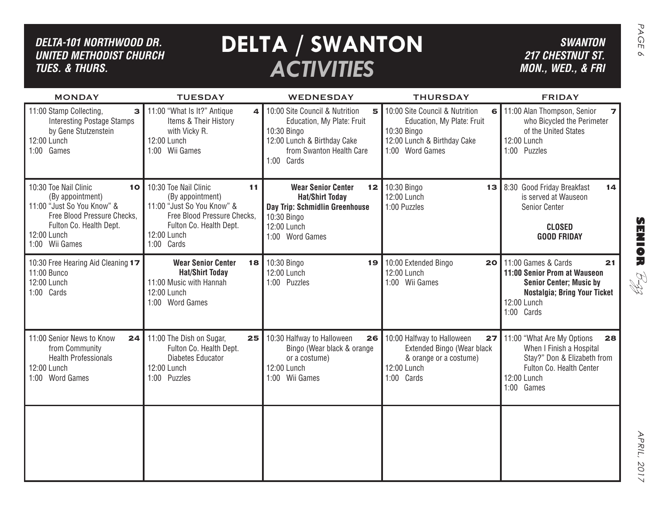| DELTA-101 NORTHWOOD DR.<br><b>UNITED METHODIST CHURCH</b><br><b>TUES. &amp; THURS.</b>                                                                                   |                                                                                                                                                                      | <b>DELTA / SWANTON</b><br><b>ACTIVITIES</b>                                                                                            |                                                                                                                       | <b>SWANTON</b><br><b>217 CHESTNUT ST.</b><br>MON., WED., & FRI                                                                                                  |
|--------------------------------------------------------------------------------------------------------------------------------------------------------------------------|----------------------------------------------------------------------------------------------------------------------------------------------------------------------|----------------------------------------------------------------------------------------------------------------------------------------|-----------------------------------------------------------------------------------------------------------------------|-----------------------------------------------------------------------------------------------------------------------------------------------------------------|
| <b>MONDAY</b><br>11:00 Stamp Collecting,<br>3                                                                                                                            | <b>TUESDAY</b><br>11:00 "What Is It?" Antique<br>4                                                                                                                   | <b>WEDNESDAY</b><br>10:00 Site Council & Nutrition<br>5                                                                                | <b>THURSDAY</b><br>10:00 Site Council & Nutrition<br>6                                                                | <b>FRIDAY</b><br>11:00 Alan Thompson, Senior                                                                                                                    |
| <b>Interesting Postage Stamps</b><br>by Gene Stutzenstein<br>12:00 Lunch<br>1:00 Games                                                                                   | Items & Their History<br>with Vicky R.<br>12:00 Lunch<br>1:00 Wii Games                                                                                              | Education, My Plate: Fruit<br>10:30 Bingo<br>12:00 Lunch & Birthday Cake<br>from Swanton Health Care<br>1:00 Cards                     | Education, My Plate: Fruit<br>10:30 Bingo<br>12:00 Lunch & Birthday Cake<br>1:00 Word Games                           | who Bicycled the Perimeter<br>of the United States<br>12:00 Lunch<br>1:00 Puzzles                                                                               |
| 10:30 Toe Nail Clinic<br>10<br>(By appointment)<br>11:00 "Just So You Know" &<br>Free Blood Pressure Checks,<br>Fulton Co. Health Dept.<br>12:00 Lunch<br>1:00 Wii Games | 10:30 Toe Nail Clinic<br>11<br>(By appointment)<br>11:00 "Just So You Know" &<br>Free Blood Pressure Checks,<br>Fulton Co. Health Dept.<br>12:00 Lunch<br>1:00 Cards | <b>Wear Senior Center</b><br><b>Hat/Shirt Today</b><br>Day Trip: Schmidlin Greenhouse<br>10:30 Bingo<br>12:00 Lunch<br>1:00 Word Games | 12 10:30 Bingo<br>12:00 Lunch<br>1:00 Puzzles                                                                         | 13 8:30 Good Friday Breakfast<br>14<br>is served at Wauseon<br>Senior Center<br><b>CLOSED</b><br><b>GOOD FRIDAY</b>                                             |
| 10:30 Free Hearing Aid Cleaning 17<br>11:00 Bunco<br>12:00 Lunch<br>1:00 Cards                                                                                           | <b>Wear Senior Center</b><br><b>Hat/Shirt Today</b><br>11:00 Music with Hannah<br>12:00 Lunch<br>1:00 Word Games                                                     | 18 10:30 Bingo<br>19 I<br>12:00 Lunch<br>1:00 Puzzles                                                                                  | 10:00 Extended Bingo<br>20 <sub>l</sub><br>12:00 Lunch<br>1:00 Wii Games                                              | 11:00 Games & Cards<br>21<br>11:00 Senior Prom at Wauseon<br><b>Senior Center; Music by</b><br><b>Nostalgia; Bring Your Ticket</b><br>12:00 Lunch<br>1:00 Cards |
| 11:00 Senior News to Know<br>24<br>from Community<br><b>Health Professionals</b><br>12:00 Lunch<br>1:00 Word Games                                                       | 11:00 The Dish on Sugar,<br>25<br>Fulton Co. Health Dept.<br>Diabetes Educator<br>12:00 Lunch<br>1:00 Puzzles                                                        | 10:30 Halfway to Halloween<br>26<br>Bingo (Wear black & orange<br>or a costume)<br>12:00 Lunch<br>1:00 Wii Games                       | 10:00 Halfway to Halloween<br>27<br>Extended Bingo (Wear black<br>& orange or a costume)<br>12:00 Lunch<br>1:00 Cards | 11:00 "What Are My Options<br>28<br>When I Finish a Hospital<br>Stay?" Don & Elizabeth from<br>Fulton Co. Health Center<br>12:00 Lunch<br>1:00 Games            |
|                                                                                                                                                                          |                                                                                                                                                                      |                                                                                                                                        |                                                                                                                       |                                                                                                                                                                 |